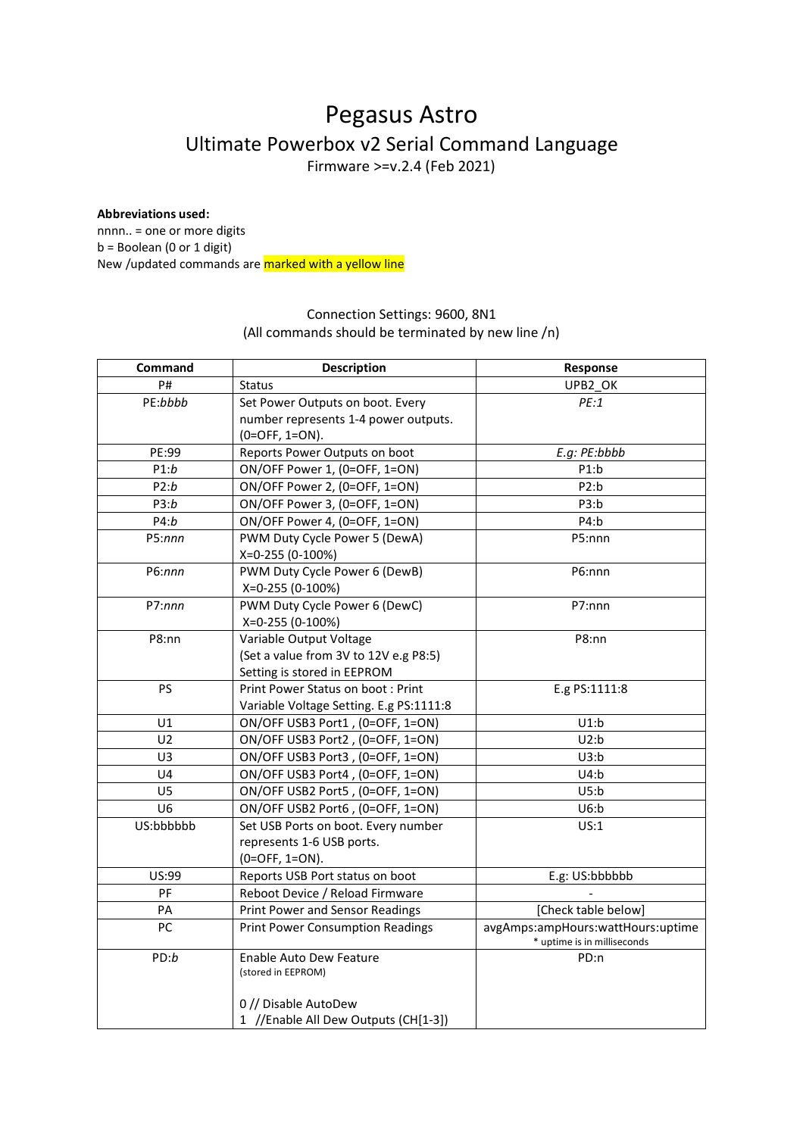# Pegasus Astro Ultimate Powerbox v2 Serial Command Language

Firmware >=v.2.4 (Feb 2021)

### **Abbreviations used:**

nnnn.. = one or more digits b = Boolean (0 or 1 digit) New /updated commands are marked with a yellow line

# Connection Settings: 9600, 8N1 (All commands should be terminated by new line /n)

| Command        | <b>Description</b>                      | Response                          |
|----------------|-----------------------------------------|-----------------------------------|
| P#             | <b>Status</b>                           | UPB2_OK                           |
| PE:bbbb        | Set Power Outputs on boot. Every        | PE:1                              |
|                | number represents 1-4 power outputs.    |                                   |
|                | (0=OFF, 1=ON).                          |                                   |
| PE:99          | Reports Power Outputs on boot           | E.g: PE:bbbb                      |
| P1:b           | ON/OFF Power 1, (0=OFF, 1=ON)           | P1:b                              |
| P2:b           | ON/OFF Power 2, (0=OFF, 1=ON)           | P2:b                              |
| P3:b           | ON/OFF Power 3, (0=OFF, 1=ON)           | P3:b                              |
| P4:b           | ON/OFF Power 4, (0=OFF, 1=ON)           | P4:b                              |
| P5:nnn         | PWM Duty Cycle Power 5 (DewA)           | P5:nnn                            |
|                | X=0-255 (0-100%)                        |                                   |
| P6:nnn         | PWM Duty Cycle Power 6 (DewB)           | P6:nnn                            |
|                | X=0-255 (0-100%)                        |                                   |
| P7:nnn         | PWM Duty Cycle Power 6 (DewC)           | P7:nnn                            |
|                | X=0-255 (0-100%)                        |                                   |
| P8:nn          | Variable Output Voltage                 | P8:nn                             |
|                | (Set a value from 3V to 12V e.g P8:5)   |                                   |
|                | Setting is stored in EEPROM             |                                   |
| PS             | Print Power Status on boot: Print       | E.g PS:1111:8                     |
|                | Variable Voltage Setting. E.g PS:1111:8 |                                   |
| U1             | ON/OFF USB3 Port1, (0=OFF, 1=ON)        | U1:b                              |
| U <sub>2</sub> | ON/OFF USB3 Port2, (0=OFF, 1=ON)        | U2:b                              |
| U3             | ON/OFF USB3 Port3, (0=OFF, 1=ON)        | U3:b                              |
| U <sub>4</sub> | ON/OFF USB3 Port4, (0=OFF, 1=ON)        | U4:b                              |
| U <sub>5</sub> | ON/OFF USB2 Port5, (0=OFF, 1=ON)        | U5:b                              |
| U6             | ON/OFF USB2 Port6, (0=OFF, 1=ON)        | U6:b                              |
| US:bbbbbb      | Set USB Ports on boot. Every number     | US:1                              |
|                | represents 1-6 USB ports.               |                                   |
|                | (0=OFF, 1=ON).                          |                                   |
| US:99          | Reports USB Port status on boot         | E.g: US:bbbbbb                    |
| PF             | Reboot Device / Reload Firmware         |                                   |
| PA             | <b>Print Power and Sensor Readings</b>  | [Check table below]               |
| PC             | <b>Print Power Consumption Readings</b> | avgAmps:ampHours:wattHours:uptime |
|                |                                         | * uptime is in milliseconds       |
| PD:b           | Enable Auto Dew Feature                 | PD:n                              |
|                | (stored in EEPROM)                      |                                   |
|                | 0 // Disable AutoDew                    |                                   |
|                |                                         |                                   |
|                | 1 //Enable All Dew Outputs (CH[1-3])    |                                   |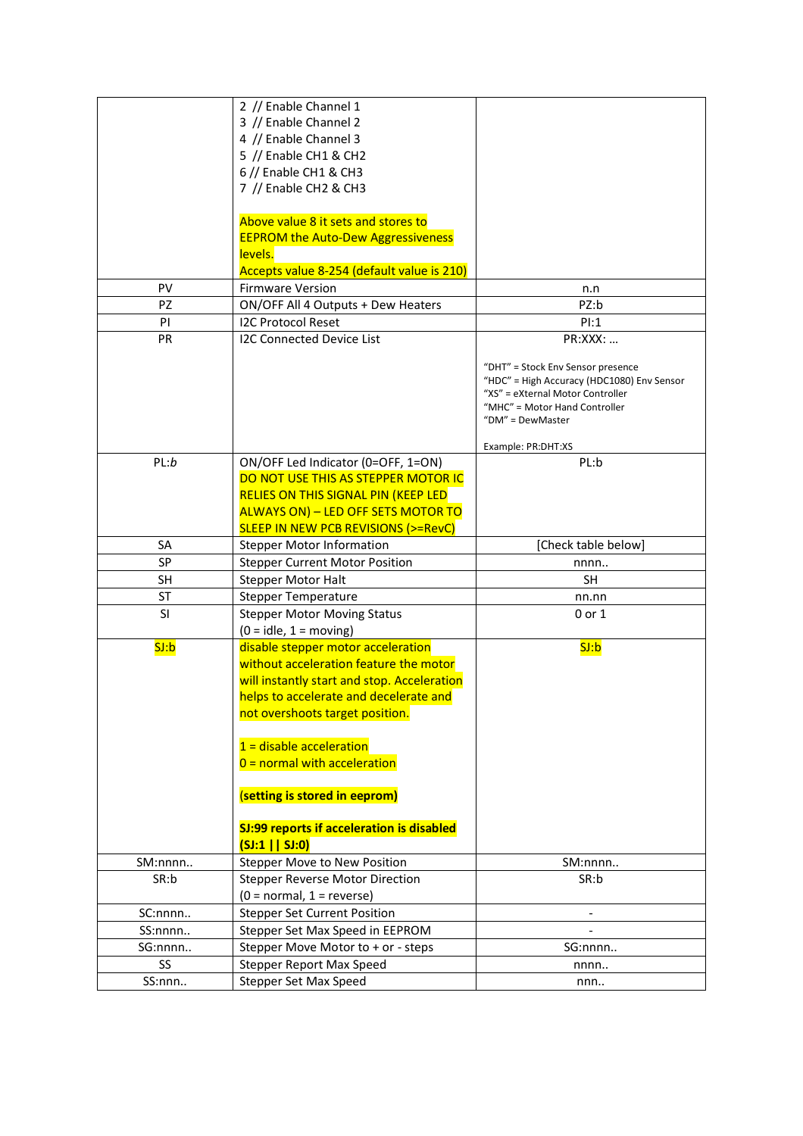|           | 2 // Enable Channel 1                                             |                                                                   |
|-----------|-------------------------------------------------------------------|-------------------------------------------------------------------|
|           | 3 // Enable Channel 2                                             |                                                                   |
|           | 4 // Enable Channel 3                                             |                                                                   |
|           | 5 // Enable CH1 & CH2                                             |                                                                   |
|           | 6 // Enable CH1 & CH3                                             |                                                                   |
|           | 7 // Enable CH2 & CH3                                             |                                                                   |
|           |                                                                   |                                                                   |
|           | Above value 8 it sets and stores to                               |                                                                   |
|           | <b>EEPROM the Auto-Dew Aggressiveness</b>                         |                                                                   |
|           | levels.                                                           |                                                                   |
|           | Accepts value 8-254 (default value is 210)                        |                                                                   |
| PV        | <b>Firmware Version</b>                                           | n.n                                                               |
| PZ        | ON/OFF All 4 Outputs + Dew Heaters                                | PZ:b                                                              |
| PI        | <b>I2C Protocol Reset</b>                                         | PI:1                                                              |
| PR        | <b>I2C Connected Device List</b>                                  | PR:XXX:                                                           |
|           |                                                                   |                                                                   |
|           |                                                                   | "DHT" = Stock Env Sensor presence                                 |
|           |                                                                   | "HDC" = High Accuracy (HDC1080) Env Sensor                        |
|           |                                                                   | "XS" = eXternal Motor Controller<br>"MHC" = Motor Hand Controller |
|           |                                                                   | "DM" = DewMaster                                                  |
|           |                                                                   |                                                                   |
|           |                                                                   | Example: PR:DHT:XS                                                |
| PL:b      | ON/OFF Led Indicator (0=OFF, 1=ON)                                | PL:b                                                              |
|           | DO NOT USE THIS AS STEPPER MOTOR IC                               |                                                                   |
|           | <b>RELIES ON THIS SIGNAL PIN (KEEP LED</b>                        |                                                                   |
|           | <b>ALWAYS ON) - LED OFF SETS MOTOR TO</b>                         |                                                                   |
|           | SLEEP IN NEW PCB REVISIONS (>=RevC)                               |                                                                   |
| SA        | <b>Stepper Motor Information</b>                                  | [Check table below]                                               |
| SP        | <b>Stepper Current Motor Position</b>                             | nnnn                                                              |
| <b>SH</b> | <b>Stepper Motor Halt</b>                                         | <b>SH</b>                                                         |
| ST        | <b>Stepper Temperature</b>                                        | nn.nn                                                             |
| SI        | <b>Stepper Motor Moving Status</b>                                | 0 or 1                                                            |
|           | $(0 = idle, 1 = moving)$                                          |                                                                   |
| SJ:b      | disable stepper motor acceleration                                | SJ:b                                                              |
|           | without acceleration feature the motor                            |                                                                   |
|           | will instantly start and stop. Acceleration                       |                                                                   |
|           | helps to accelerate and decelerate and                            |                                                                   |
|           | not overshoots target position.                                   |                                                                   |
|           |                                                                   |                                                                   |
|           | $1 =$ disable acceleration                                        |                                                                   |
|           | $0 =$ normal with acceleration                                    |                                                                   |
|           |                                                                   |                                                                   |
|           | (setting is stored in eeprom)                                     |                                                                   |
|           |                                                                   |                                                                   |
|           | <b>SJ:99 reports if acceleration is disabled</b><br>(SJ:1   SJ:0) |                                                                   |
| SM:nnnn   | <b>Stepper Move to New Position</b>                               | SM:nnnn                                                           |
| SR:b      | <b>Stepper Reverse Motor Direction</b>                            | SR:b                                                              |
|           | $(0 = normal, 1 = reverse)$                                       |                                                                   |
| SC:nnnn   | <b>Stepper Set Current Position</b>                               |                                                                   |
| SS:nnnn   | Stepper Set Max Speed in EEPROM                                   |                                                                   |
| SG:nnnn   | Stepper Move Motor to + or - steps                                | SG:nnnn                                                           |
| SS        | <b>Stepper Report Max Speed</b>                                   | nnnn                                                              |
| SS:nnn    | <b>Stepper Set Max Speed</b>                                      | nnn                                                               |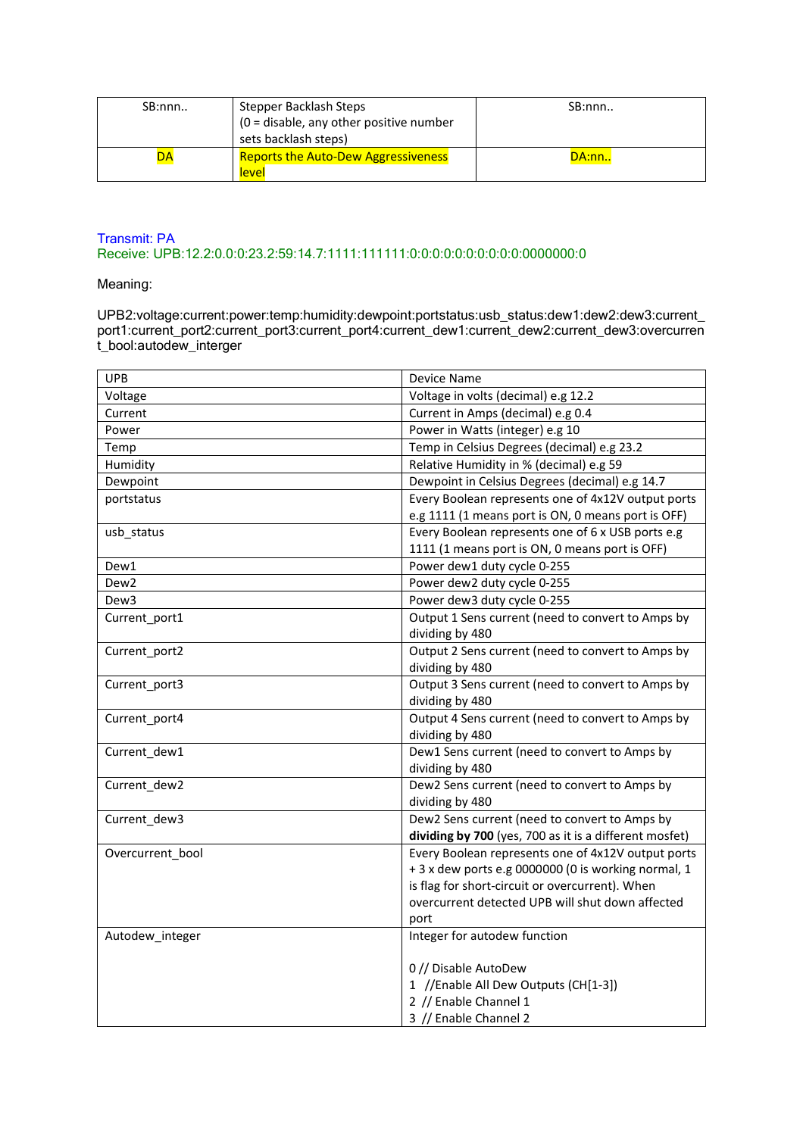| SB:nnn | Stepper Backlash Steps<br>$(0 =$ disable, any other positive number<br>sets backlash steps) | SB:nnn |
|--------|---------------------------------------------------------------------------------------------|--------|
| DA     | <b>Reports the Auto-Dew Aggressiveness</b><br>level                                         | DA:nn  |

## Transmit: PA Receive: UPB:12.2:0.0:0:23.2:59:14.7:1111:111111:0:0:0:0:0:0:0:0:0:0:0000000:0

Meaning:

UPB2:voltage:current:power:temp:humidity:dewpoint:portstatus:usb\_status:dew1:dew2:dew3:current\_ port1:current\_port2:current\_port3:current\_port4:current\_dew1:current\_dew2:current\_dew3:overcurren t\_bool:autodew\_interger

| Voltage in volts (decimal) e.g 12.2<br>Voltage<br>Current in Amps (decimal) e.g 0.4<br>Current<br>Power in Watts (integer) e.g 10<br>Power<br>Temp in Celsius Degrees (decimal) e.g 23.2<br>Temp<br>Relative Humidity in % (decimal) e.g 59<br>Humidity<br>Dewpoint in Celsius Degrees (decimal) e.g 14.7<br>Dewpoint<br>Every Boolean represents one of 4x12V output ports<br>portstatus |
|-------------------------------------------------------------------------------------------------------------------------------------------------------------------------------------------------------------------------------------------------------------------------------------------------------------------------------------------------------------------------------------------|
|                                                                                                                                                                                                                                                                                                                                                                                           |
|                                                                                                                                                                                                                                                                                                                                                                                           |
|                                                                                                                                                                                                                                                                                                                                                                                           |
|                                                                                                                                                                                                                                                                                                                                                                                           |
|                                                                                                                                                                                                                                                                                                                                                                                           |
|                                                                                                                                                                                                                                                                                                                                                                                           |
|                                                                                                                                                                                                                                                                                                                                                                                           |
| e.g 1111 (1 means port is ON, 0 means port is OFF)                                                                                                                                                                                                                                                                                                                                        |
| Every Boolean represents one of 6 x USB ports e.g<br>usb_status                                                                                                                                                                                                                                                                                                                           |
| 1111 (1 means port is ON, 0 means port is OFF)                                                                                                                                                                                                                                                                                                                                            |
| Dew1<br>Power dew1 duty cycle 0-255                                                                                                                                                                                                                                                                                                                                                       |
| Dew <sub>2</sub><br>Power dew2 duty cycle 0-255                                                                                                                                                                                                                                                                                                                                           |
| Power dew3 duty cycle 0-255<br>Dew <sub>3</sub>                                                                                                                                                                                                                                                                                                                                           |
| Output 1 Sens current (need to convert to Amps by<br>Current_port1                                                                                                                                                                                                                                                                                                                        |
| dividing by 480                                                                                                                                                                                                                                                                                                                                                                           |
| Output 2 Sens current (need to convert to Amps by<br>Current port2                                                                                                                                                                                                                                                                                                                        |
| dividing by 480                                                                                                                                                                                                                                                                                                                                                                           |
| Output 3 Sens current (need to convert to Amps by<br>Current port3                                                                                                                                                                                                                                                                                                                        |
| dividing by 480                                                                                                                                                                                                                                                                                                                                                                           |
| Output 4 Sens current (need to convert to Amps by<br>Current_port4                                                                                                                                                                                                                                                                                                                        |
| dividing by 480                                                                                                                                                                                                                                                                                                                                                                           |
| Dew1 Sens current (need to convert to Amps by<br>Current_dew1                                                                                                                                                                                                                                                                                                                             |
| dividing by 480                                                                                                                                                                                                                                                                                                                                                                           |
| Dew2 Sens current (need to convert to Amps by<br>Current dew2                                                                                                                                                                                                                                                                                                                             |
| dividing by 480                                                                                                                                                                                                                                                                                                                                                                           |
| Dew2 Sens current (need to convert to Amps by<br>Current dew3                                                                                                                                                                                                                                                                                                                             |
| dividing by 700 (yes, 700 as it is a different mosfet)                                                                                                                                                                                                                                                                                                                                    |
| Every Boolean represents one of 4x12V output ports<br>Overcurrent bool                                                                                                                                                                                                                                                                                                                    |
| + 3 x dew ports e.g 0000000 (0 is working normal, 1                                                                                                                                                                                                                                                                                                                                       |
| is flag for short-circuit or overcurrent). When                                                                                                                                                                                                                                                                                                                                           |
| overcurrent detected UPB will shut down affected                                                                                                                                                                                                                                                                                                                                          |
| port                                                                                                                                                                                                                                                                                                                                                                                      |
| Integer for autodew function<br>Autodew_integer                                                                                                                                                                                                                                                                                                                                           |
| 0 // Disable AutoDew                                                                                                                                                                                                                                                                                                                                                                      |
| 1 //Enable All Dew Outputs (CH[1-3])                                                                                                                                                                                                                                                                                                                                                      |
| 2 // Enable Channel 1                                                                                                                                                                                                                                                                                                                                                                     |
| 3 // Enable Channel 2                                                                                                                                                                                                                                                                                                                                                                     |